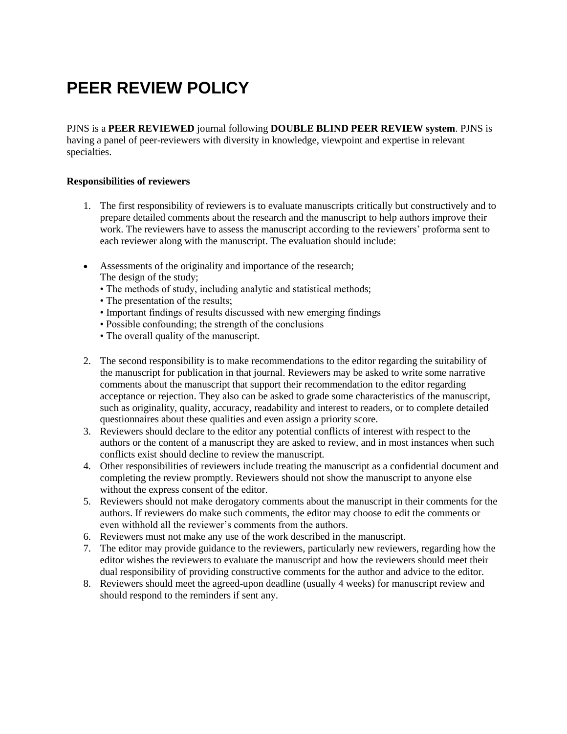# **PEER REVIEW POLICY**

PJNS is a **PEER REVIEWED** journal following **DOUBLE BLIND PEER REVIEW system**. PJNS is having a panel of peer-reviewers with diversity in knowledge, viewpoint and expertise in relevant specialties.

## **Responsibilities of reviewers**

- 1. The first responsibility of reviewers is to evaluate manuscripts critically but constructively and to prepare detailed comments about the research and the manuscript to help authors improve their work. The reviewers have to assess the manuscript according to the reviewers' proforma sent to each reviewer along with the manuscript. The evaluation should include:
- Assessments of the originality and importance of the research; The design of the study;
	- The methods of study, including analytic and statistical methods;
	- The presentation of the results;
	- Important findings of results discussed with new emerging findings
	- Possible confounding; the strength of the conclusions
	- The overall quality of the manuscript.
- 2. The second responsibility is to make recommendations to the editor regarding the suitability of the manuscript for publication in that journal. Reviewers may be asked to write some narrative comments about the manuscript that support their recommendation to the editor regarding acceptance or rejection. They also can be asked to grade some characteristics of the manuscript, such as originality, quality, accuracy, readability and interest to readers, or to complete detailed questionnaires about these qualities and even assign a priority score.
- 3. Reviewers should declare to the editor any potential conflicts of interest with respect to the authors or the content of a manuscript they are asked to review, and in most instances when such conflicts exist should decline to review the manuscript.
- 4. Other responsibilities of reviewers include treating the manuscript as a confidential document and completing the review promptly. Reviewers should not show the manuscript to anyone else without the express consent of the editor.
- 5. Reviewers should not make derogatory comments about the manuscript in their comments for the authors. If reviewers do make such comments, the editor may choose to edit the comments or even withhold all the reviewer's comments from the authors.
- 6. Reviewers must not make any use of the work described in the manuscript.
- 7. The editor may provide guidance to the reviewers, particularly new reviewers, regarding how the editor wishes the reviewers to evaluate the manuscript and how the reviewers should meet their dual responsibility of providing constructive comments for the author and advice to the editor.
- 8. Reviewers should meet the agreed-upon deadline (usually 4 weeks) for manuscript review and should respond to the reminders if sent any.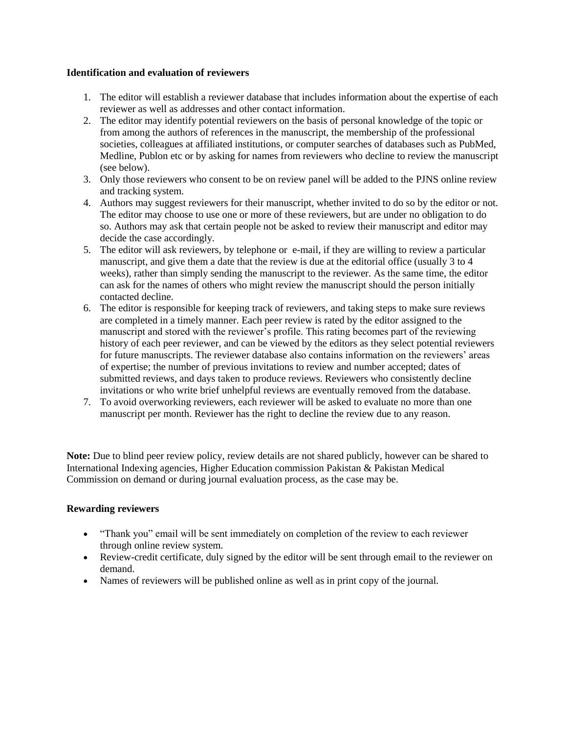#### **Identification and evaluation of reviewers**

- 1. The editor will establish a reviewer database that includes information about the expertise of each reviewer as well as addresses and other contact information.
- 2. The editor may identify potential reviewers on the basis of personal knowledge of the topic or from among the authors of references in the manuscript, the membership of the professional societies, colleagues at affiliated institutions, or computer searches of databases such as PubMed, Medline, Publon etc or by asking for names from reviewers who decline to review the manuscript (see below).
- 3. Only those reviewers who consent to be on review panel will be added to the PJNS online review and tracking system.
- 4. Authors may suggest reviewers for their manuscript, whether invited to do so by the editor or not. The editor may choose to use one or more of these reviewers, but are under no obligation to do so. Authors may ask that certain people not be asked to review their manuscript and editor may decide the case accordingly.
- 5. The editor will ask reviewers, by telephone or e-mail, if they are willing to review a particular manuscript, and give them a date that the review is due at the editorial office (usually 3 to 4 weeks), rather than simply sending the manuscript to the reviewer. As the same time, the editor can ask for the names of others who might review the manuscript should the person initially contacted decline.
- 6. The editor is responsible for keeping track of reviewers, and taking steps to make sure reviews are completed in a timely manner. Each peer review is rated by the editor assigned to the manuscript and stored with the reviewer's profile. This rating becomes part of the reviewing history of each peer reviewer, and can be viewed by the editors as they select potential reviewers for future manuscripts. The reviewer database also contains information on the reviewers' areas of expertise; the number of previous invitations to review and number accepted; dates of submitted reviews, and days taken to produce reviews. Reviewers who consistently decline invitations or who write brief unhelpful reviews are eventually removed from the database.
- 7. To avoid overworking reviewers, each reviewer will be asked to evaluate no more than one manuscript per month. Reviewer has the right to decline the review due to any reason.

**Note:** Due to blind peer review policy, review details are not shared publicly, however can be shared to International Indexing agencies, [Higher Education commission Pakistan](https://www.hec.gov.pk/english/pages/home.aspx) & [Pakistan Medical](http://www.pmdc.org.pk/)  [Commission](http://www.pmdc.org.pk/) on demand or during journal evaluation process, as the case may be.

## **Rewarding reviewers**

- "Thank you" email will be sent immediately on completion of the review to each reviewer through online review system.
- Review-credit certificate, duly signed by the editor will be sent through email to the reviewer on demand.
- Names of reviewers will be published online as well as in print copy of the journal.